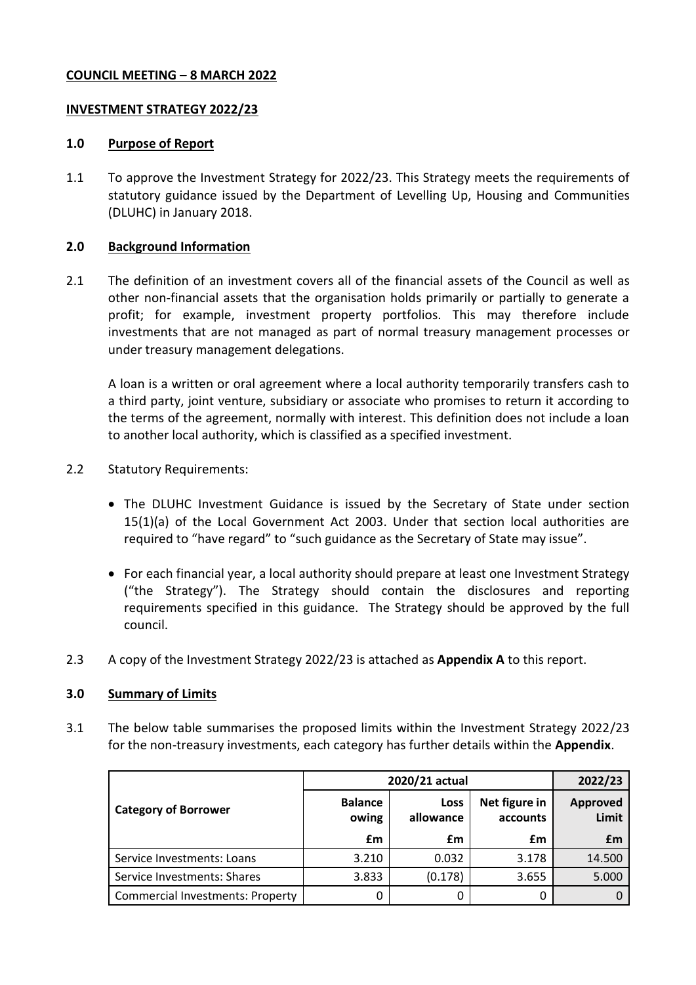### **COUNCIL MEETING – 8 MARCH 2022**

### **INVESTMENT STRATEGY 2022/23**

#### **1.0 Purpose of Report**

1.1 To approve the Investment Strategy for 2022/23. This Strategy meets the requirements of statutory guidance issued by the Department of Levelling Up, Housing and Communities (DLUHC) in January 2018.

### **2.0 Background Information**

2.1 The definition of an investment covers all of the financial assets of the Council as well as other non-financial assets that the organisation holds primarily or partially to generate a profit; for example, investment property portfolios. This may therefore include investments that are not managed as part of normal treasury management processes or under treasury management delegations.

A loan is a written or oral agreement where a local authority temporarily transfers cash to a third party, joint venture, subsidiary or associate who promises to return it according to the terms of the agreement, normally with interest. This definition does not include a loan to another local authority, which is classified as a specified investment.

- 2.2 Statutory Requirements:
	- The DLUHC Investment Guidance is issued by the Secretary of State under section 15(1)(a) of the Local Government Act 2003. Under that section local authorities are required to "have regard" to "such guidance as the Secretary of State may issue".
	- For each financial year, a local authority should prepare at least one Investment Strategy ("the Strategy"). The Strategy should contain the disclosures and reporting requirements specified in this guidance. The Strategy should be approved by the full council.
- 2.3 A copy of the Investment Strategy 2022/23 is attached as **Appendix A** to this report.

## **3.0 Summary of Limits**

3.1 The below table summarises the proposed limits within the Investment Strategy 2022/23 for the non-treasury investments, each category has further details within the **Appendix**.

|                                         | 2020/21 actual          |                          |                           | 2022/23                  |
|-----------------------------------------|-------------------------|--------------------------|---------------------------|--------------------------|
| <b>Category of Borrower</b>             | <b>Balance</b><br>owing | <b>Loss</b><br>allowance | Net figure in<br>accounts | <b>Approved</b><br>Limit |
|                                         | £m                      | £m                       | £m                        | £m                       |
| Service Investments: Loans              | 3.210                   | 0.032                    | 3.178                     | 14.500                   |
| Service Investments: Shares             | 3.833                   | (0.178)                  | 3.655                     | 5.000                    |
| <b>Commercial Investments: Property</b> | 0                       |                          | 0                         |                          |